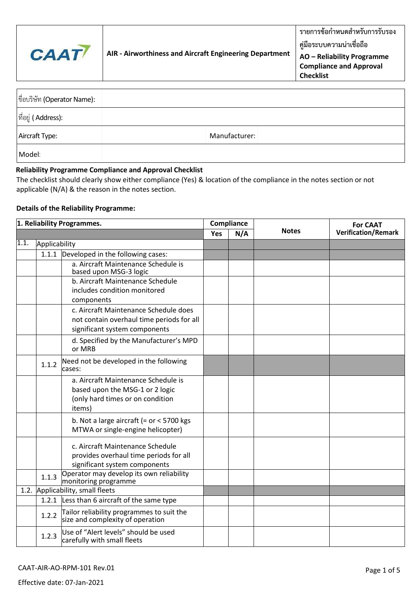

**Checklist**

| ที่อบริษัท (Operator Name):          |               |
|--------------------------------------|---------------|
| $ \vec{\mathbb{n}}$ อยู่ ( Address): |               |
| Aircraft Type:                       | Manufacturer: |
| Model:                               |               |

## **Reliability Programme Compliance and Approval Checklist**

The checklist should clearly show either compliance (Yes) & location of the compliance in the notes section or not applicable (N/A) & the reason in the notes section.

## **Details of the Reliability Programme:**

| 1. Reliability Programmes. |               | Compliance                                                                                                           |     |     | <b>For CAAT</b> |                            |
|----------------------------|---------------|----------------------------------------------------------------------------------------------------------------------|-----|-----|-----------------|----------------------------|
|                            |               |                                                                                                                      | Yes | N/A | <b>Notes</b>    | <b>Verification/Remark</b> |
| 1.1.                       | Applicability |                                                                                                                      |     |     |                 |                            |
|                            | 1.1.1         | Developed in the following cases:                                                                                    |     |     |                 |                            |
|                            |               | a. Aircraft Maintenance Schedule is<br>based upon MSG-3 logic                                                        |     |     |                 |                            |
|                            |               | b. Aircraft Maintenance Schedule<br>includes condition monitored<br>components                                       |     |     |                 |                            |
|                            |               | c. Aircraft Maintenance Schedule does<br>not contain overhaul time periods for all<br>significant system components  |     |     |                 |                            |
|                            |               | d. Specified by the Manufacturer's MPD<br>or MRB                                                                     |     |     |                 |                            |
|                            | 1.1.2         | Need not be developed in the following<br>cases:                                                                     |     |     |                 |                            |
|                            |               | a. Aircraft Maintenance Schedule is<br>based upon the MSG-1 or 2 logic<br>(only hard times or on condition<br>items) |     |     |                 |                            |
|                            |               | b. Not a large aircraft (= $or < 5700$ kgs<br>MTWA or single-engine helicopter)                                      |     |     |                 |                            |
|                            |               | c. Aircraft Maintenance Schedule<br>provides overhaul time periods for all<br>significant system components          |     |     |                 |                            |
|                            | 1.1.3         | Operator may develop its own reliability<br>monitoring programme                                                     |     |     |                 |                            |
|                            |               | 1.2. Applicability, small fleets                                                                                     |     |     |                 |                            |
|                            |               | 1.2.1 Less than 6 aircraft of the same type                                                                          |     |     |                 |                            |
|                            | 1.2.2         | Tailor reliability programmes to suit the<br>size and complexity of operation                                        |     |     |                 |                            |
|                            | 1.2.3         | Use of "Alert levels" should be used<br>carefully with small fleets                                                  |     |     |                 |                            |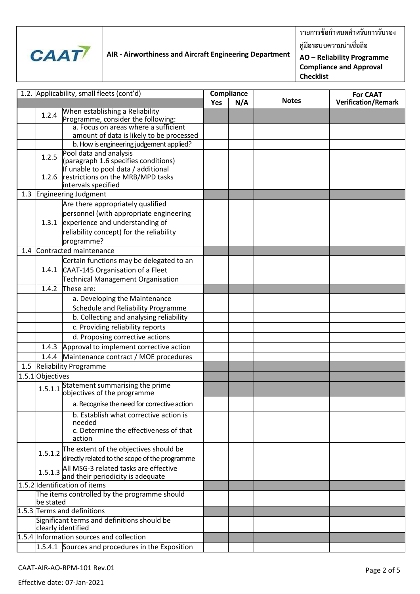

**รายการข้อก าหนดส าหรับการรับรอง**

**คู่มือระบบความน่าเชื่อถือ**

**AO – Reliability Programme Compliance and Approval Checklist**

| 1.2. Applicability, small fleets (cont'd) |                               | Compliance                                                                                       |     |     | <b>For CAAT</b> |                            |
|-------------------------------------------|-------------------------------|--------------------------------------------------------------------------------------------------|-----|-----|-----------------|----------------------------|
|                                           |                               |                                                                                                  | Yes | N/A | <b>Notes</b>    | <b>Verification/Remark</b> |
|                                           | 1.2.4                         | When establishing a Reliability<br>Programme, consider the following:                            |     |     |                 |                            |
|                                           |                               | a. Focus on areas where a sufficient<br>amount of data is likely to be processed                 |     |     |                 |                            |
|                                           |                               | b. How is engineering judgement applied?                                                         |     |     |                 |                            |
|                                           | 1.2.5                         | Pool data and analysis                                                                           |     |     |                 |                            |
|                                           |                               | (paragraph 1.6 specifies conditions)                                                             |     |     |                 |                            |
|                                           | 1.2.6                         | If unable to pool data / additional<br>restrictions on the MRB/MPD tasks<br>intervals specified  |     |     |                 |                            |
|                                           |                               | 1.3 Engineering Judgment                                                                         |     |     |                 |                            |
|                                           |                               | Are there appropriately qualified                                                                |     |     |                 |                            |
|                                           |                               | personnel (with appropriate engineering                                                          |     |     |                 |                            |
|                                           | 1.3.1                         | experience and understanding of                                                                  |     |     |                 |                            |
|                                           |                               | reliability concept) for the reliability                                                         |     |     |                 |                            |
|                                           |                               | programme?                                                                                       |     |     |                 |                            |
| 1.4                                       |                               | Contracted maintenance                                                                           |     |     |                 |                            |
|                                           |                               | Certain functions may be delegated to an                                                         |     |     |                 |                            |
|                                           | 1.4.1                         | CAAT-145 Organisation of a Fleet                                                                 |     |     |                 |                            |
|                                           |                               | Technical Management Organisation                                                                |     |     |                 |                            |
|                                           | 1.4.2                         | These are:                                                                                       |     |     |                 |                            |
|                                           |                               | a. Developing the Maintenance                                                                    |     |     |                 |                            |
|                                           |                               | Schedule and Reliability Programme                                                               |     |     |                 |                            |
|                                           |                               | b. Collecting and analysing reliability                                                          |     |     |                 |                            |
|                                           |                               | c. Providing reliability reports                                                                 |     |     |                 |                            |
|                                           |                               | d. Proposing corrective actions                                                                  |     |     |                 |                            |
|                                           | 1.4.3                         | Approval to implement corrective action                                                          |     |     |                 |                            |
|                                           | 1.4.4                         | Maintenance contract / MOE procedures                                                            |     |     |                 |                            |
|                                           |                               | 1.5 Reliability Programme                                                                        |     |     |                 |                            |
|                                           | 1.5.1 Objectives              |                                                                                                  |     |     |                 |                            |
|                                           | 1.5.1.1                       | Statement summarising the prime<br>objectives of the programme                                   |     |     |                 |                            |
|                                           |                               | a. Recognise the need for corrective action                                                      |     |     |                 |                            |
|                                           |                               | b. Establish what corrective action is<br>needed                                                 |     |     |                 |                            |
|                                           |                               | c. Determine the effectiveness of that<br>action                                                 |     |     |                 |                            |
|                                           |                               | 1.5.1.2 The extent of the objectives should be<br>directly related to the scope of the programme |     |     |                 |                            |
|                                           |                               | 1.5.1.3 All MSG-3 related tasks are effective<br>and their periodicity is adequate               |     |     |                 |                            |
|                                           | 1.5.2 Identification of items |                                                                                                  |     |     |                 |                            |
|                                           | be stated                     | The items controlled by the programme should                                                     |     |     |                 |                            |
|                                           |                               | 1.5.3 Terms and definitions                                                                      |     |     |                 |                            |
|                                           |                               | Significant terms and definitions should be<br>clearly identified                                |     |     |                 |                            |
|                                           |                               | 1.5.4 Information sources and collection                                                         |     |     |                 |                            |
|                                           |                               | $1.5.4.1$ Sources and procedures in the Exposition                                               |     |     |                 |                            |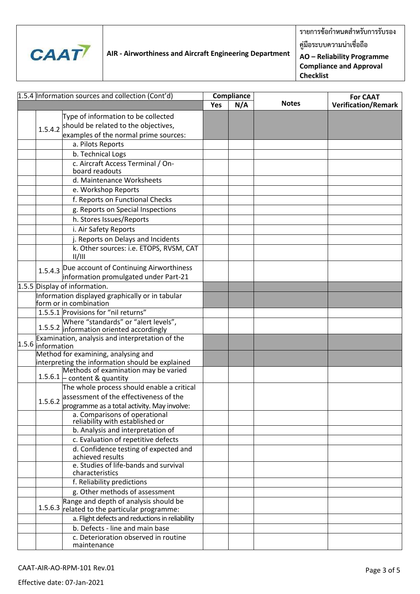

**รายการข้อก าหนดส าหรับการรับรอง คู่มือระบบความน่าเชื่อถือ**

**AO – Reliability Programme** 

**Compliance and Approval Checklist**

|                   | 1.5.4 Information sources and collection (Cont'd)                                | <b>Compliance</b> |     |              | <b>For CAAT</b>            |
|-------------------|----------------------------------------------------------------------------------|-------------------|-----|--------------|----------------------------|
|                   |                                                                                  | <b>Yes</b>        | N/A | <b>Notes</b> | <b>Verification/Remark</b> |
|                   | Type of information to be collected                                              |                   |     |              |                            |
|                   | 1.5.4.2 should be related to the objectives,                                     |                   |     |              |                            |
|                   | examples of the normal prime sources:                                            |                   |     |              |                            |
|                   | a. Pilots Reports                                                                |                   |     |              |                            |
|                   | b. Technical Logs                                                                |                   |     |              |                            |
|                   | c. Aircraft Access Terminal / On-                                                |                   |     |              |                            |
|                   | board readouts                                                                   |                   |     |              |                            |
|                   | d. Maintenance Worksheets                                                        |                   |     |              |                            |
|                   | e. Workshop Reports                                                              |                   |     |              |                            |
|                   | f. Reports on Functional Checks                                                  |                   |     |              |                            |
|                   | g. Reports on Special Inspections                                                |                   |     |              |                            |
|                   | h. Stores Issues/Reports                                                         |                   |     |              |                            |
|                   | i. Air Safety Reports                                                            |                   |     |              |                            |
|                   | j. Reports on Delays and Incidents                                               |                   |     |              |                            |
|                   | k. Other sources: i.e. ETOPS, RVSM, CAT<br>  /                                   |                   |     |              |                            |
|                   | 1.5.4.3 Due account of Continuing Airworthiness                                  |                   |     |              |                            |
|                   | information promulgated under Part-21                                            |                   |     |              |                            |
|                   | 1.5.5 Display of information.                                                    |                   |     |              |                            |
|                   | Information displayed graphically or in tabular<br>form or in combination        |                   |     |              |                            |
|                   | 1.5.5.1 Provisions for "nil returns"                                             |                   |     |              |                            |
|                   | Where "standards" or "alert levels",<br>1.5.5.2 information oriented accordingly |                   |     |              |                            |
| 1.5.6 information | Examination, analysis and interpretation of the                                  |                   |     |              |                            |
|                   | Method for examining, analysing and                                              |                   |     |              |                            |
|                   | interpreting the information should be explained                                 |                   |     |              |                            |
|                   | Methods of examination may be varied<br>$1.5.6.1$ $\vdash$ content & quantity    |                   |     |              |                            |
|                   | The whole process should enable a critical                                       |                   |     |              |                            |
| 1.5.6.2           | assessment of the effectiveness of the                                           |                   |     |              |                            |
|                   | programme as a total activity. May involve:                                      |                   |     |              |                            |
|                   | a. Comparisons of operational<br>reliability with established or                 |                   |     |              |                            |
|                   | b. Analysis and interpretation of                                                |                   |     |              |                            |
|                   | c. Evaluation of repetitive defects                                              |                   |     |              |                            |
|                   | d. Confidence testing of expected and<br>achieved results                        |                   |     |              |                            |
|                   | e. Studies of life-bands and survival<br>characteristics                         |                   |     |              |                            |
|                   | f. Reliability predictions                                                       |                   |     |              |                            |
|                   | g. Other methods of assessment                                                   |                   |     |              |                            |
|                   | Range and depth of analysis should be                                            |                   |     |              |                            |
|                   | 1.5.6.3 related to the particular programme:                                     |                   |     |              |                            |
|                   | a. Flight defects and reductions in reliability                                  |                   |     |              |                            |
|                   | b. Defects - line and main base                                                  |                   |     |              |                            |
|                   | c. Deterioration observed in routine<br>maintenance                              |                   |     |              |                            |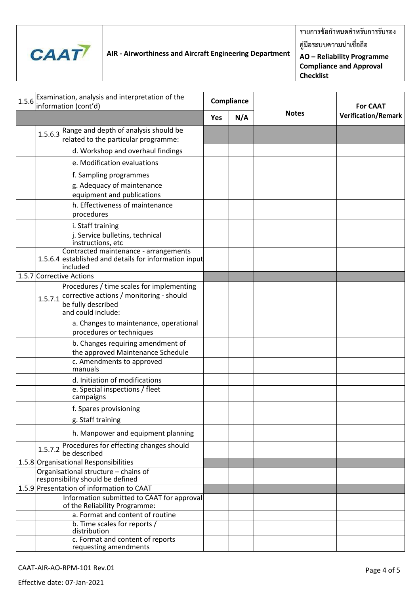

**รายการข้อก าหนดส าหรับการรับรอง คู่มือระบบความน่าเชื่อถือ**

**AO – Reliability Programme Compliance and Approval Checklist**

| 1.5.6 Examination, analysis and interpretation of the                    |                                                                                                                                   | Compliance |     |              |                            |
|--------------------------------------------------------------------------|-----------------------------------------------------------------------------------------------------------------------------------|------------|-----|--------------|----------------------------|
|                                                                          | information (cont'd)                                                                                                              |            |     | <b>Notes</b> | <b>For CAAT</b>            |
|                                                                          |                                                                                                                                   | <b>Yes</b> | N/A |              | <b>Verification/Remark</b> |
| 1.5.6.3                                                                  | Range and depth of analysis should be                                                                                             |            |     |              |                            |
|                                                                          | related to the particular programme:                                                                                              |            |     |              |                            |
|                                                                          | d. Workshop and overhaul findings                                                                                                 |            |     |              |                            |
|                                                                          | e. Modification evaluations                                                                                                       |            |     |              |                            |
|                                                                          | f. Sampling programmes                                                                                                            |            |     |              |                            |
|                                                                          | g. Adequacy of maintenance                                                                                                        |            |     |              |                            |
|                                                                          | equipment and publications<br>h. Effectiveness of maintenance                                                                     |            |     |              |                            |
|                                                                          | procedures                                                                                                                        |            |     |              |                            |
|                                                                          | i. Staff training                                                                                                                 |            |     |              |                            |
|                                                                          | j. Service bulletins, technical<br>instructions, etc                                                                              |            |     |              |                            |
|                                                                          | Contracted maintenance - arrangements<br>1.5.6.4 established and details for information input<br>included                        |            |     |              |                            |
|                                                                          | 1.5.7 Corrective Actions                                                                                                          |            |     |              |                            |
| 1.5.7.1                                                                  | Procedures / time scales for implementing<br>corrective actions / monitoring - should<br>be fully described<br>and could include: |            |     |              |                            |
|                                                                          | a. Changes to maintenance, operational<br>procedures or techniques                                                                |            |     |              |                            |
|                                                                          | b. Changes requiring amendment of<br>the approved Maintenance Schedule                                                            |            |     |              |                            |
|                                                                          | c. Amendments to approved<br>manuals                                                                                              |            |     |              |                            |
|                                                                          | d. Initiation of modifications                                                                                                    |            |     |              |                            |
|                                                                          | e. Special inspections / fleet<br>campaigns                                                                                       |            |     |              |                            |
|                                                                          | f. Spares provisioning                                                                                                            |            |     |              |                            |
|                                                                          | g. Staff training                                                                                                                 |            |     |              |                            |
|                                                                          | h. Manpower and equipment planning                                                                                                |            |     |              |                            |
|                                                                          | 1.5.7.2 Procedures for effecting changes should<br>be described                                                                   |            |     |              |                            |
|                                                                          | 1.5.8 Organisational Responsibilities                                                                                             |            |     |              |                            |
| Organisational structure - chains of<br>responsibility should be defined |                                                                                                                                   |            |     |              |                            |
| 1.5.9 Presentation of information to CAAT                                |                                                                                                                                   |            |     |              |                            |
|                                                                          | Information submitted to CAAT for approval<br>of the Reliability Programme:                                                       |            |     |              |                            |
|                                                                          | a. Format and content of routine                                                                                                  |            |     |              |                            |
|                                                                          | b. Time scales for reports /<br>distribution                                                                                      |            |     |              |                            |
|                                                                          | c. Format and content of reports<br>requesting amendments                                                                         |            |     |              |                            |